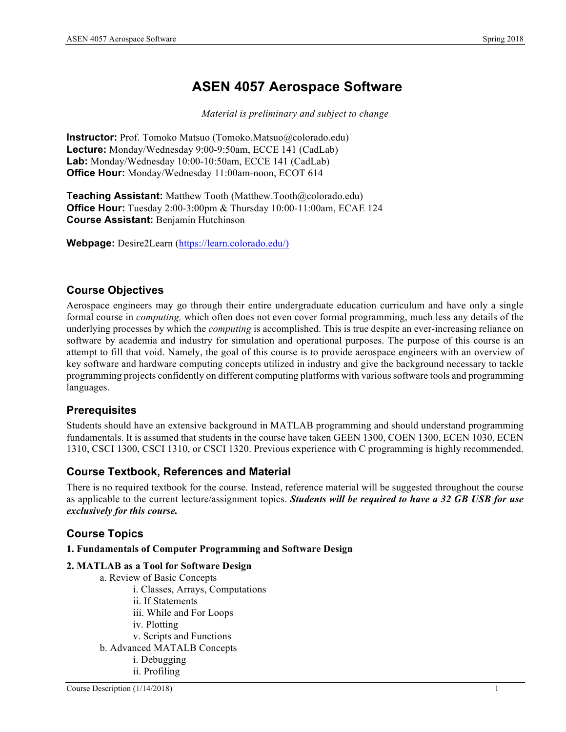# **ASEN 4057 Aerospace Software**

*Material is preliminary and subject to change*

**Instructor:** Prof. Tomoko Matsuo (Tomoko.Matsuo@colorado.edu) **Lecture:** Monday/Wednesday 9:00-9:50am, ECCE 141 (CadLab) **Lab:** Monday/Wednesday 10:00-10:50am, ECCE 141 (CadLab) **Office Hour:** Monday/Wednesday 11:00am-noon, ECOT 614

**Teaching Assistant:** Matthew Tooth (Matthew.Tooth@colorado.edu) **Office Hour:** Tuesday 2:00-3:00pm & Thursday 10:00-11:00am, ECAE 124 **Course Assistant:** Benjamin Hutchinson

**Webpage:** Desire2Learn (https://learn.colorado.edu/)

# **Course Objectives**

Aerospace engineers may go through their entire undergraduate education curriculum and have only a single formal course in *computing,* which often does not even cover formal programming, much less any details of the underlying processes by which the *computing* is accomplished. This is true despite an ever-increasing reliance on software by academia and industry for simulation and operational purposes. The purpose of this course is an attempt to fill that void. Namely, the goal of this course is to provide aerospace engineers with an overview of key software and hardware computing concepts utilized in industry and give the background necessary to tackle programming projects confidently on different computing platforms with various software tools and programming languages.

# **Prerequisites**

Students should have an extensive background in MATLAB programming and should understand programming fundamentals. It is assumed that students in the course have taken GEEN 1300, COEN 1300, ECEN 1030, ECEN 1310, CSCI 1300, CSCI 1310, or CSCI 1320. Previous experience with C programming is highly recommended.

# **Course Textbook, References and Material**

There is no required textbook for the course. Instead, reference material will be suggested throughout the course as applicable to the current lecture/assignment topics. *Students will be required to have a 32 GB USB for use exclusively for this course.*

# **Course Topics**

**1. Fundamentals of Computer Programming and Software Design**

### **2. MATLAB as a Tool for Software Design**

- a. Review of Basic Concepts i. Classes, Arrays, Computations ii. If Statements iii. While and For Loops iv. Plotting
	- v. Scripts and Functions
- b. Advanced MATALB Concepts
	- i. Debugging
	- ii. Profiling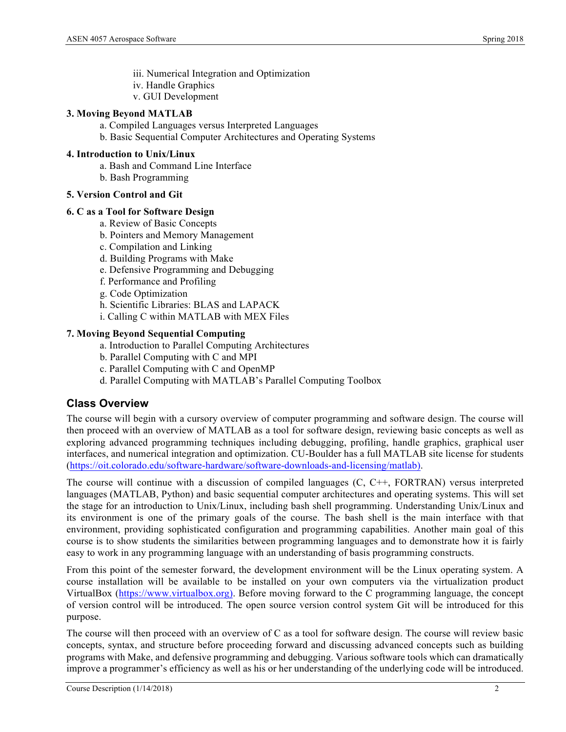- iii. Numerical Integration and Optimization
- iv. Handle Graphics
- v. GUI Development

#### **3. Moving Beyond MATLAB**

- a. Compiled Languages versus Interpreted Languages
- b. Basic Sequential Computer Architectures and Operating Systems

#### **4. Introduction to Unix/Linux**

- a. Bash and Command Line Interface
- b. Bash Programming

### **5. Version Control and Git**

#### **6. C as a Tool for Software Design**

- a. Review of Basic Concepts
- b. Pointers and Memory Management
- c. Compilation and Linking
- d. Building Programs with Make
- e. Defensive Programming and Debugging
- f. Performance and Profiling
- g. Code Optimization
- h. Scientific Libraries: BLAS and LAPACK
- i. Calling C within MATLAB with MEX Files

#### **7. Moving Beyond Sequential Computing**

- a. Introduction to Parallel Computing Architectures
- b. Parallel Computing with C and MPI
- c. Parallel Computing with C and OpenMP
- d. Parallel Computing with MATLAB's Parallel Computing Toolbox

# **Class Overview**

The course will begin with a cursory overview of computer programming and software design. The course will then proceed with an overview of MATLAB as a tool for software design, reviewing basic concepts as well as exploring advanced programming techniques including debugging, profiling, handle graphics, graphical user interfaces, and numerical integration and optimization. CU-Boulder has a full MATLAB site license for students (https://oit.colorado.edu/software-hardware/software-downloads-and-licensing/matlab).

The course will continue with a discussion of compiled languages (C, C++, FORTRAN) versus interpreted languages (MATLAB, Python) and basic sequential computer architectures and operating systems. This will set the stage for an introduction to Unix/Linux, including bash shell programming. Understanding Unix/Linux and its environment is one of the primary goals of the course. The bash shell is the main interface with that environment, providing sophisticated configuration and programming capabilities. Another main goal of this course is to show students the similarities between programming languages and to demonstrate how it is fairly easy to work in any programming language with an understanding of basis programming constructs.

From this point of the semester forward, the development environment will be the Linux operating system. A course installation will be available to be installed on your own computers via the virtualization product VirtualBox (https://www.virtualbox.org). Before moving forward to the C programming language, the concept of version control will be introduced. The open source version control system Git will be introduced for this purpose.

The course will then proceed with an overview of C as a tool for software design. The course will review basic concepts, syntax, and structure before proceeding forward and discussing advanced concepts such as building programs with Make, and defensive programming and debugging. Various software tools which can dramatically improve a programmer's efficiency as well as his or her understanding of the underlying code will be introduced.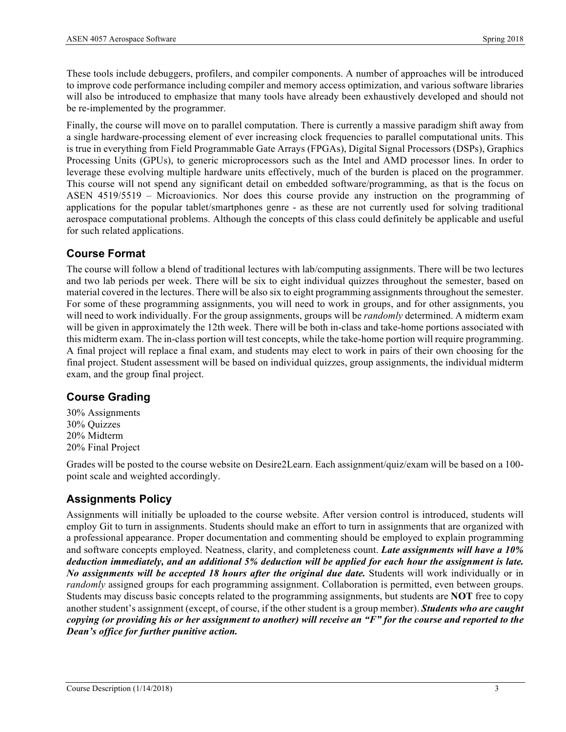These tools include debuggers, profilers, and compiler components. A number of approaches will be introduced to improve code performance including compiler and memory access optimization, and various software libraries will also be introduced to emphasize that many tools have already been exhaustively developed and should not be re-implemented by the programmer.

Finally, the course will move on to parallel computation. There is currently a massive paradigm shift away from a single hardware-processing element of ever increasing clock frequencies to parallel computational units. This is true in everything from Field Programmable Gate Arrays (FPGAs), Digital Signal Processors (DSPs), Graphics Processing Units (GPUs), to generic microprocessors such as the Intel and AMD processor lines. In order to leverage these evolving multiple hardware units effectively, much of the burden is placed on the programmer. This course will not spend any significant detail on embedded software/programming, as that is the focus on ASEN 4519/5519 – Microavionics. Nor does this course provide any instruction on the programming of applications for the popular tablet/smartphones genre - as these are not currently used for solving traditional aerospace computational problems. Although the concepts of this class could definitely be applicable and useful for such related applications.

# **Course Format**

The course will follow a blend of traditional lectures with lab/computing assignments. There will be two lectures and two lab periods per week. There will be six to eight individual quizzes throughout the semester, based on material covered in the lectures. There will be also six to eight programming assignments throughout the semester. For some of these programming assignments, you will need to work in groups, and for other assignments, you will need to work individually. For the group assignments, groups will be *randomly* determined. A midterm exam will be given in approximately the 12th week. There will be both in-class and take-home portions associated with this midterm exam. The in-class portion will test concepts, while the take-home portion will require programming. A final project will replace a final exam, and students may elect to work in pairs of their own choosing for the final project. Student assessment will be based on individual quizzes, group assignments, the individual midterm exam, and the group final project.

# **Course Grading**

30% Assignments 30% Quizzes 20% Midterm 20% Final Project

Grades will be posted to the course website on Desire2Learn. Each assignment/quiz/exam will be based on a 100 point scale and weighted accordingly.

# **Assignments Policy**

Assignments will initially be uploaded to the course website. After version control is introduced, students will employ Git to turn in assignments. Students should make an effort to turn in assignments that are organized with a professional appearance. Proper documentation and commenting should be employed to explain programming and software concepts employed. Neatness, clarity, and completeness count. *Late assignments will have a 10% deduction immediately, and an additional 5% deduction will be applied for each hour the assignment is late. No assignments will be accepted 18 hours after the original due date.* Students will work individually or in *randomly* assigned groups for each programming assignment. Collaboration is permitted, even between groups. Students may discuss basic concepts related to the programming assignments, but students are **NOT** free to copy another student's assignment (except, of course, if the other student is a group member). *Students who are caught copying (or providing his or her assignment to another) will receive an "F" for the course and reported to the Dean's office for further punitive action.*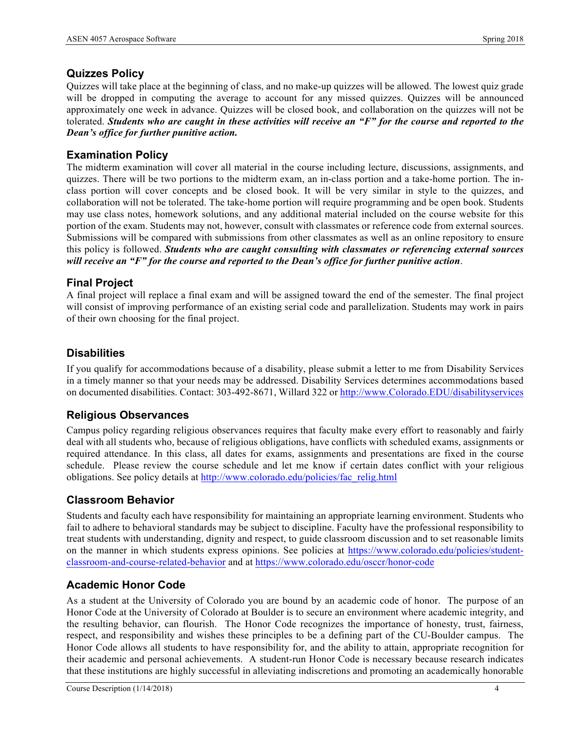# **Quizzes Policy**

Quizzes will take place at the beginning of class, and no make-up quizzes will be allowed. The lowest quiz grade will be dropped in computing the average to account for any missed quizzes. Quizzes will be announced approximately one week in advance. Quizzes will be closed book, and collaboration on the quizzes will not be tolerated. *Students who are caught in these activities will receive an "F" for the course and reported to the Dean's office for further punitive action.*

### **Examination Policy**

The midterm examination will cover all material in the course including lecture, discussions, assignments, and quizzes. There will be two portions to the midterm exam, an in-class portion and a take-home portion. The inclass portion will cover concepts and be closed book. It will be very similar in style to the quizzes, and collaboration will not be tolerated. The take-home portion will require programming and be open book. Students may use class notes, homework solutions, and any additional material included on the course website for this portion of the exam. Students may not, however, consult with classmates or reference code from external sources. Submissions will be compared with submissions from other classmates as well as an online repository to ensure this policy is followed. *Students who are caught consulting with classmates or referencing external sources will receive an "F" for the course and reported to the Dean's office for further punitive action*.

### **Final Project**

A final project will replace a final exam and will be assigned toward the end of the semester. The final project will consist of improving performance of an existing serial code and parallelization. Students may work in pairs of their own choosing for the final project.

# **Disabilities**

If you qualify for accommodations because of a disability, please submit a letter to me from Disability Services in a timely manner so that your needs may be addressed. Disability Services determines accommodations based on documented disabilities. Contact: 303-492-8671, Willard 322 or http://www.Colorado.EDU/disabilityservices

# **Religious Observances**

Campus policy regarding religious observances requires that faculty make every effort to reasonably and fairly deal with all students who, because of religious obligations, have conflicts with scheduled exams, assignments or required attendance. In this class, all dates for exams, assignments and presentations are fixed in the course schedule. Please review the course schedule and let me know if certain dates conflict with your religious obligations. See policy details at http://www.colorado.edu/policies/fac\_relig.html

# **Classroom Behavior**

Students and faculty each have responsibility for maintaining an appropriate learning environment. Students who fail to adhere to behavioral standards may be subject to discipline. Faculty have the professional responsibility to treat students with understanding, dignity and respect, to guide classroom discussion and to set reasonable limits on the manner in which students express opinions. See policies at https://www.colorado.edu/policies/studentclassroom-and-course-related-behavior and at https://www.colorado.edu/osccr/honor-code

# **Academic Honor Code**

As a student at the University of Colorado you are bound by an academic code of honor. The purpose of an Honor Code at the University of Colorado at Boulder is to secure an environment where academic integrity, and the resulting behavior, can flourish. The Honor Code recognizes the importance of honesty, trust, fairness, respect, and responsibility and wishes these principles to be a defining part of the CU-Boulder campus. The Honor Code allows all students to have responsibility for, and the ability to attain, appropriate recognition for their academic and personal achievements. A student-run Honor Code is necessary because research indicates that these institutions are highly successful in alleviating indiscretions and promoting an academically honorable